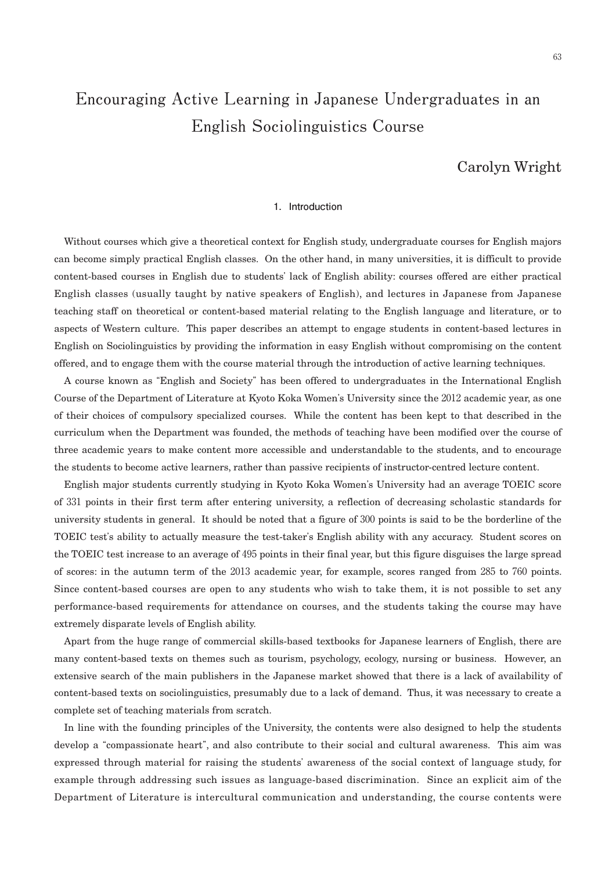# **Encouraging Active Learning in Japanese Undergraduates in an English Sociolinguistics Course**

# Carolyn Wright

#### 1. Introduction

Without courses which give a theoretical context for English study, undergraduate courses for English majors can become simply practical English classes. On the other hand, in many universities, it is difficult to provide content-based courses in English due to students' lack of English ability: courses offered are either practical English classes (usually taught by native speakers of English), and lectures in Japanese from Japanese teaching staff on theoretical or content-based material relating to the English language and literature, or to aspects of Western culture. This paper describes an attempt to engage students in content-based lectures in English on Sociolinguistics by providing the information in easy English without compromising on the content offered, and to engage them with the course material through the introduction of active learning techniques.

A course known as "English and Society" has been offered to undergraduates in the International English Course of the Department of Literature at Kyoto Koka Women's University since the 2012 academic year, as one of their choices of compulsory specialized courses. While the content has been kept to that described in the curriculum when the Department was founded, the methods of teaching have been modified over the course of three academic years to make content more accessible and understandable to the students, and to encourage the students to become active learners, rather than passive recipients of instructor-centred lecture content.

English major students currently studying in Kyoto Koka Women's University had an average TOEIC score of 331 points in their first term after entering university, a reflection of decreasing scholastic standards for university students in general. It should be noted that a figure of 300 points is said to be the borderline of the TOEIC test's ability to actually measure the test-taker's English ability with any accuracy. Student scores on the TOEIC test increase to an average of 495 points in their final year, but this figure disguises the large spread of scores: in the autumn term of the 2013 academic year, for example, scores ranged from 285 to 760 points. Since content-based courses are open to any students who wish to take them, it is not possible to set any performance-based requirements for attendance on courses, and the students taking the course may have extremely disparate levels of English ability.

Apart from the huge range of commercial skills-based textbooks for Japanese learners of English, there are many content-based texts on themes such as tourism, psychology, ecology, nursing or business. However, an extensive search of the main publishers in the Japanese market showed that there is a lack of availability of content-based texts on sociolinguistics, presumably due to a lack of demand. Thus, it was necessary to create a complete set of teaching materials from scratch.

In line with the founding principles of the University, the contents were also designed to help the students develop a "compassionate heart", and also contribute to their social and cultural awareness. This aim was expressed through material for raising the students' awareness of the social context of language study, for example through addressing such issues as language-based discrimination. Since an explicit aim of the Department of Literature is intercultural communication and understanding, the course contents were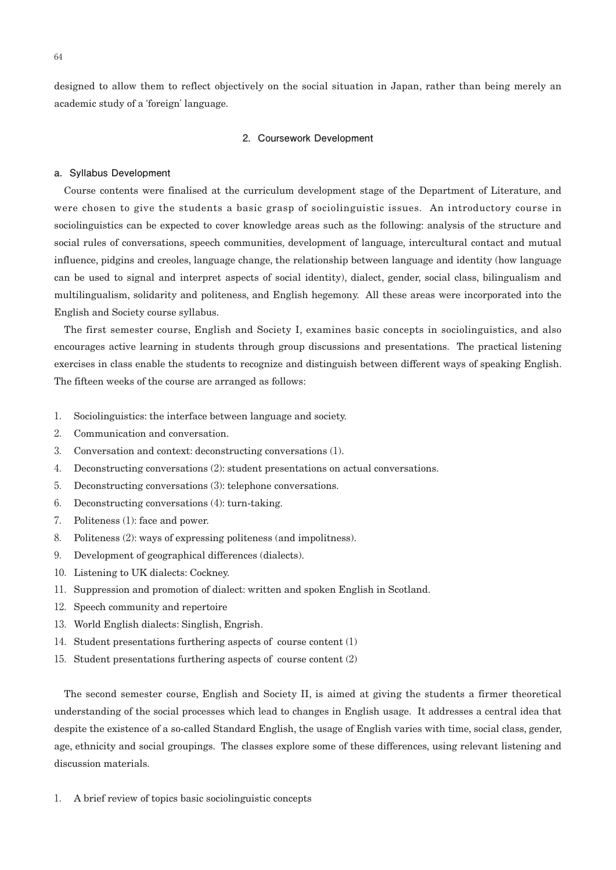designed to allow them to reflect objectively on the social situation in Japan, rather than being merely an academic study of a ʻforeign' language.

#### **2.Coursework Development**

#### **a.Syllabus Development**

Course contents were finalised at the curriculum development stage of the Department of Literature, and were chosen to give the students a basic grasp of sociolinguistic issues. An introductory course in sociolinguistics can be expected to cover knowledge areas such as the following: analysis of the structure and social rules of conversations, speech communities, development of language, intercultural contact and mutual influence, pidgins and creoles, language change, the relationship between language and identity (how language can be used to signal and interpret aspects of social identity), dialect, gender, social class, bilingualism and multilingualism, solidarity and politeness, and English hegemony. All these areas were incorporated into the English and Society course syllabus.

The first semester course, English and Society I, examines basic concepts in sociolinguistics, and also encourages active learning in students through group discussions and presentations. The practical listening exercises in class enable the students to recognize and distinguish between different ways of speaking English. The fifteen weeks of the course are arranged as follows:

- 1. Sociolinguistics: the interface between language and society.
- 2. Communication and conversation.
- 3. Conversation and context: deconstructing conversations (1).
- 4. Deconstructing conversations (2): student presentations on actual conversations.
- 5. Deconstructing conversations (3): telephone conversations.
- 6. Deconstructing conversations (4): turn-taking.
- 7. Politeness (1): face and power.
- 8. Politeness (2): ways of expressing politeness (and impolitness).
- 9. Development of geographical differences (dialects).
- 10. Listening to UK dialects: Cockney.
- 11. Suppression and promotion of dialect: written and spoken English in Scotland.
- 12. Speech community and repertoire
- 13. World English dialects: Singlish, Engrish.
- 14. Student presentations furthering aspects of course content (1)
- 15. Student presentations furthering aspects of course content (2)

The second semester course, English and Society II, is aimed at giving the students a firmer theoretical understanding of the social processes which lead to changes in English usage. It addresses a central idea that despite the existence of a so-called Standard English, the usage of English varies with time, social class, gender, age, ethnicity and social groupings. The classes explore some of these differences, using relevant listening and discussion materials.

1. A brief review of topics basic sociolinguistic concepts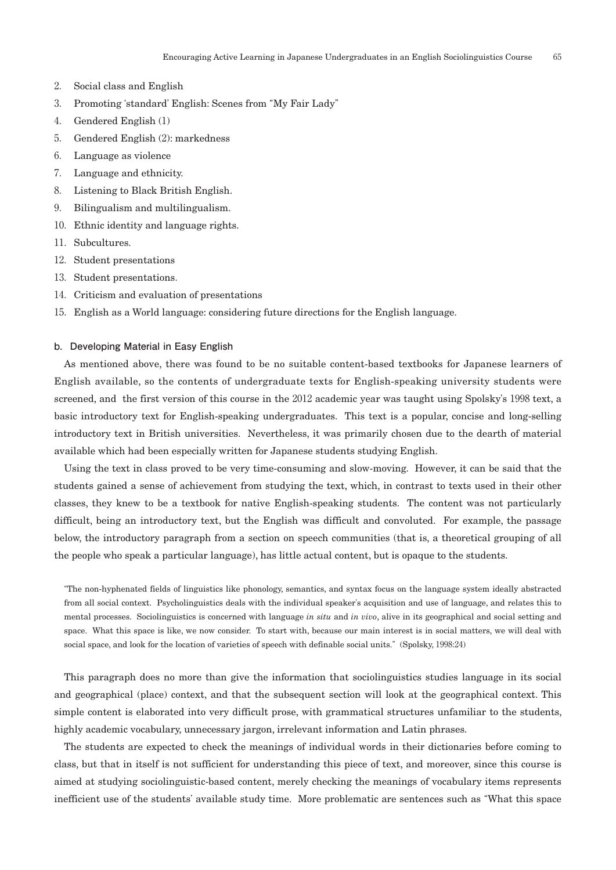- 2. Social class and English
- 3. Promoting ʻstandard' English: Scenes from "My Fair Lady"
- 4. Gendered English (1)
- 5. Gendered English (2): markedness
- 6. Language as violence
- 7. Language and ethnicity.
- 8. Listening to Black British English.
- 9. Bilingualism and multilingualism.
- 10.Ethnic identity and language rights.
- 11. Subcultures.
- 12. Student presentations
- 13. Student presentations.
- 14.Criticism and evaluation of presentations
- 15.English as a World language: considering future directions for the English language.

#### **b.Developing Material in Easy English**

As mentioned above, there was found to be no suitable content-based textbooks for Japanese learners of English available, so the contents of undergraduate texts for English-speaking university students were screened, and the first version of this course in the 2012 academic year was taught using Spolsky's 1998 text, a basic introductory text for English-speaking undergraduates. This text is a popular, concise and long-selling introductory text in British universities. Nevertheless, it was primarily chosen due to the dearth of material available which had been especially written for Japanese students studying English.

Using the text in class proved to be very time-consuming and slow-moving. However, it can be said that the students gained a sense of achievement from studying the text, which, in contrast to texts used in their other classes, they knew to be a textbook for native English-speaking students. The content was not particularly difficult, being an introductory text, but the English was difficult and convoluted. For example, the passage below, the introductory paragraph from a section on speech communities (that is, a theoretical grouping of all the people who speak a particular language), has little actual content, but is opaque to the students.

"The non-hyphenated fields of linguistics like phonology, semantics, and syntax focus on the language system ideally abstracted from all social context. Psycholinguistics deals with the individual speaker's acquisition and use of language, and relates this to mental processes. Sociolinguistics is concerned with language *in situ* and *in vivo*, alive in its geographical and social setting and space. What this space is like, we now consider. To start with, because our main interest is in social matters, we will deal with social space, and look for the location of varieties of speech with definable social units." (Spolsky, 1998:24)

This paragraph does no more than give the information that sociolinguistics studies language in its social and geographical (place) context, and that the subsequent section will look at the geographical context. This simple content is elaborated into very difficult prose, with grammatical structures unfamiliar to the students, highly academic vocabulary, unnecessary jargon, irrelevant information and Latin phrases.

The students are expected to check the meanings of individual words in their dictionaries before coming to class, but that in itself is not sufficient for understanding this piece of text, and moreover, since this course is aimed at studying sociolinguistic-based content, merely checking the meanings of vocabulary items represents inefficient use of the students' available study time. More problematic are sentences such as "What this space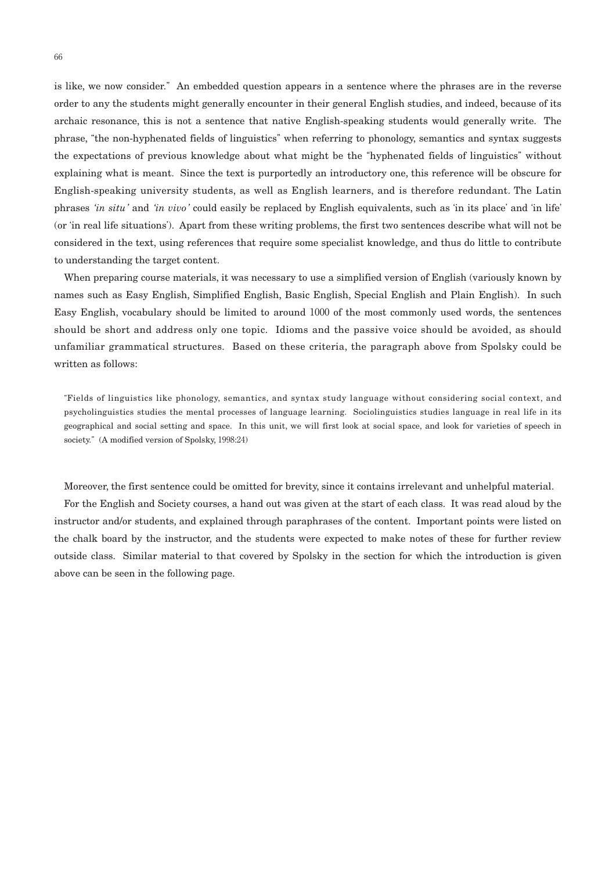is like, we now consider." An embedded question appears in a sentence where the phrases are in the reverse order to any the students might generally encounter in their general English studies, and indeed, because of its archaic resonance, this is not a sentence that native English-speaking students would generally write. The phrase, "the non-hyphenated fields of linguistics" when referring to phonology, semantics and syntax suggests the expectations of previous knowledge about what might be the "hyphenated fields of linguistics" without explaining what is meant. Since the text is purportedly an introductory one, this reference will be obscure for English-speaking university students, as well as English learners, and is therefore redundant. The Latin phrases ʻ*in situ*' and ʻ*in vivo*' could easily be replaced by English equivalents, such as ʻin its place' and ʻin life' (or ʻin real life situations'). Apart from these writing problems, the first two sentences describe what will not be considered in the text, using references that require some specialist knowledge, and thus do little to contribute to understanding the target content.

When preparing course materials, it was necessary to use a simplified version of English (variously known by names such as Easy English, Simplified English, Basic English, Special English and Plain English). In such Easy English, vocabulary should be limited to around 1000 of the most commonly used words, the sentences should be short and address only one topic. Idioms and the passive voice should be avoided, as should unfamiliar grammatical structures. Based on these criteria, the paragraph above from Spolsky could be written as follows:

"Fields of linguistics like phonology, semantics, and syntax study language without considering social context, and psycholinguistics studies the mental processes of language learning. Sociolinguistics studies language in real life in its geographical and social setting and space. In this unit, we will first look at social space, and look for varieties of speech in society." (A modified version of Spolsky, 1998:24)

Moreover, the first sentence could be omitted for brevity, since it contains irrelevant and unhelpful material.

For the English and Society courses, a hand out was given at the start of each class. It was read aloud by the instructor and/or students, and explained through paraphrases of the content. Important points were listed on the chalk board by the instructor, and the students were expected to make notes of these for further review outside class. Similar material to that covered by Spolsky in the section for which the introduction is given above can be seen in the following page.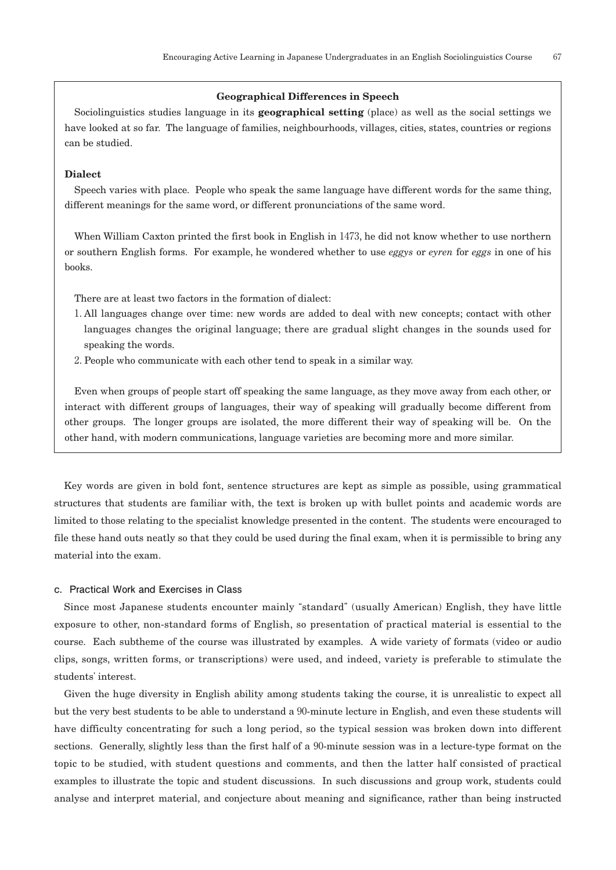#### **Geographical Differences in Speech**

Sociolinguistics studies language in its **geographical setting** (place) as well as the social settings we have looked at so far. The language of families, neighbourhoods, villages, cities, states, countries or regions can be studied.

## **Dialect**

Speech varies with place. People who speak the same language have different words for the same thing, different meanings for the same word, or different pronunciations of the same word.

When William Caxton printed the first book in English in 1473, he did not know whether to use northern or southern English forms. For example, he wondered whether to use *eggys* or *eyren* for *eggs* in one of his books.

There are at least two factors in the formation of dialect:

- 1. All languages change over time: new words are added to deal with new concepts; contact with other languages changes the original language; there are gradual slight changes in the sounds used for speaking the words.
- 2. People who communicate with each other tend to speak in a similar way.

Even when groups of people start off speaking the same language, as they move away from each other, or interact with different groups of languages, their way of speaking will gradually become different from other groups. The longer groups are isolated, the more different their way of speaking will be. On the other hand, with modern communications, language varieties are becoming more and more similar.

Key words are given in bold font, sentence structures are kept as simple as possible, using grammatical structures that students are familiar with, the text is broken up with bullet points and academic words are limited to those relating to the specialist knowledge presented in the content. The students were encouraged to file these hand outs neatly so that they could be used during the final exam, when it is permissible to bring any material into the exam.

## **c.Practical Work and Exercises in Class**

Since most Japanese students encounter mainly "standard" (usually American) English, they have little exposure to other, non-standard forms of English, so presentation of practical material is essential to the course. Each subtheme of the course was illustrated by examples. A wide variety of formats (video or audio clips, songs, written forms, or transcriptions) were used, and indeed, variety is preferable to stimulate the students' interest.

Given the huge diversity in English ability among students taking the course, it is unrealistic to expect all but the very best students to be able to understand a 90-minute lecture in English, and even these students will have difficulty concentrating for such a long period, so the typical session was broken down into different sections. Generally, slightly less than the first half of a 90-minute session was in a lecture-type format on the topic to be studied, with student questions and comments, and then the latter half consisted of practical examples to illustrate the topic and student discussions. In such discussions and group work, students could analyse and interpret material, and conjecture about meaning and significance, rather than being instructed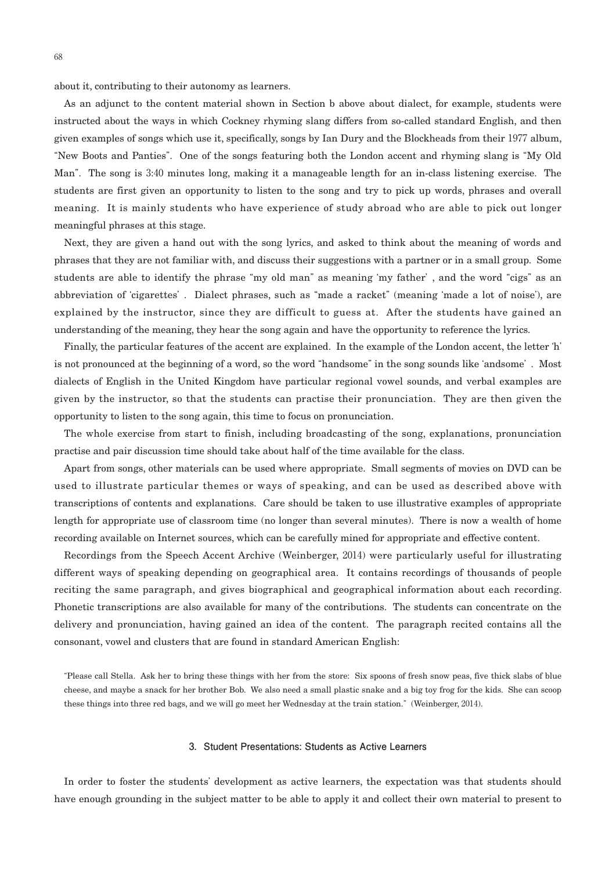about it, contributing to their autonomy as learners.

As an adjunct to the content material shown in Section b above about dialect, for example, students were instructed about the ways in which Cockney rhyming slang differs from so-called standard English, and then given examples of songs which use it, specifically, songs by Ian Dury and the Blockheads from their 1977 album, "New Boots and Panties". One of the songs featuring both the London accent and rhyming slang is "My Old Man". The song is 3:40 minutes long, making it a manageable length for an in-class listening exercise. The students are first given an opportunity to listen to the song and try to pick up words, phrases and overall meaning. It is mainly students who have experience of study abroad who are able to pick out longer meaningful phrases at this stage.

Next, they are given a hand out with the song lyrics, and asked to think about the meaning of words and phrases that they are not familiar with, and discuss their suggestions with a partner or in a small group. Some students are able to identify the phrase "my old man" as meaning ʻmy father' , and the word "cigs" as an abbreviation of ʻcigarettes' . Dialect phrases, such as "made a racket" (meaning ʻmade a lot of noise'), are explained by the instructor, since they are difficult to guess at. After the students have gained an understanding of the meaning, they hear the song again and have the opportunity to reference the lyrics.

Finally, the particular features of the accent are explained. In the example of the London accent, the letter ʻh' is not pronounced at the beginning of a word, so the word "handsome" in the song sounds like ʻandsome' . Most dialects of English in the United Kingdom have particular regional vowel sounds, and verbal examples are given by the instructor, so that the students can practise their pronunciation. They are then given the opportunity to listen to the song again, this time to focus on pronunciation.

The whole exercise from start to finish, including broadcasting of the song, explanations, pronunciation practise and pair discussion time should take about half of the time available for the class.

Apart from songs, other materials can be used where appropriate. Small segments of movies on DVD can be used to illustrate particular themes or ways of speaking, and can be used as described above with transcriptions of contents and explanations. Care should be taken to use illustrative examples of appropriate length for appropriate use of classroom time (no longer than several minutes). There is now a wealth of home recording available on Internet sources, which can be carefully mined for appropriate and effective content.

Recordings from the Speech Accent Archive (Weinberger, 2014) were particularly useful for illustrating different ways of speaking depending on geographical area. It contains recordings of thousands of people reciting the same paragraph, and gives biographical and geographical information about each recording. Phonetic transcriptions are also available for many of the contributions. The students can concentrate on the delivery and pronunciation, having gained an idea of the content. The paragraph recited contains all the consonant, vowel and clusters that are found in standard American English:

"Please call Stella. Ask her to bring these things with her from the store: Six spoons of fresh snow peas, five thick slabs of blue cheese, and maybe a snack for her brother Bob. We also need a small plastic snake and a big toy frog for the kids. She can scoop these things into three red bags, and we will go meet her Wednesday at the train station." (Weinberger, 2014).

#### **3.Student Presentations: Students as Active Learners**

In order to foster the students' development as active learners, the expectation was that students should have enough grounding in the subject matter to be able to apply it and collect their own material to present to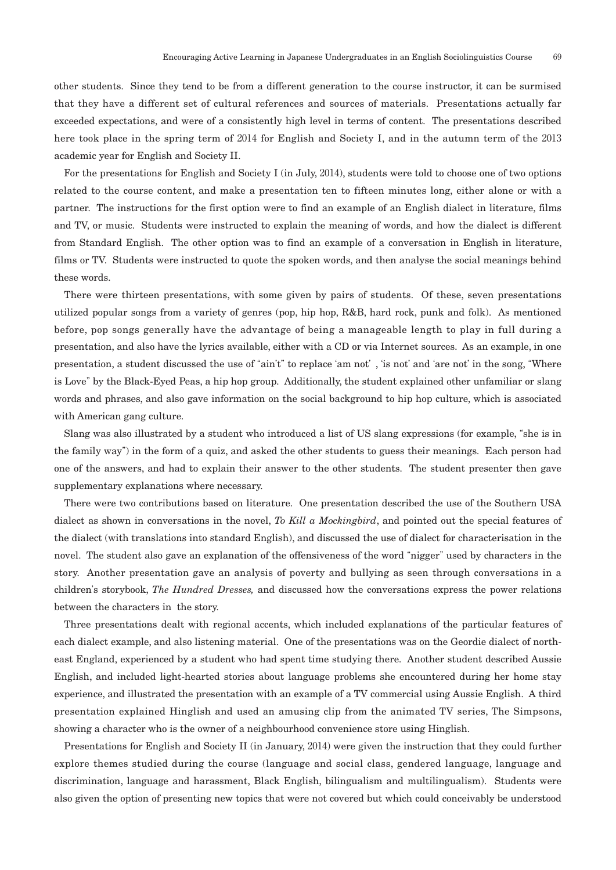other students. Since they tend to be from a different generation to the course instructor, it can be surmised that they have a different set of cultural references and sources of materials. Presentations actually far exceeded expectations, and were of a consistently high level in terms of content. The presentations described here took place in the spring term of 2014 for English and Society I, and in the autumn term of the 2013 academic year for English and Society II.

For the presentations for English and Society I (in July, 2014), students were told to choose one of two options related to the course content, and make a presentation ten to fifteen minutes long, either alone or with a partner. The instructions for the first option were to find an example of an English dialect in literature, films and TV, or music. Students were instructed to explain the meaning of words, and how the dialect is different from Standard English. The other option was to find an example of a conversation in English in literature, films or TV. Students were instructed to quote the spoken words, and then analyse the social meanings behind these words.

There were thirteen presentations, with some given by pairs of students. Of these, seven presentations utilized popular songs from a variety of genres (pop, hip hop, R&B, hard rock, punk and folk). As mentioned before, pop songs generally have the advantage of being a manageable length to play in full during a presentation, and also have the lyrics available, either with a CD or via Internet sources. As an example, in one presentation, a student discussed the use of "ain't" to replace ʻam not' , ʻis not' and ʻare not' in the song, "Where is Love" by the Black-Eyed Peas, a hip hop group. Additionally, the student explained other unfamiliar or slang words and phrases, and also gave information on the social background to hip hop culture, which is associated with American gang culture.

Slang was also illustrated by a student who introduced a list of US slang expressions (for example, "she is in the family way") in the form of a quiz, and asked the other students to guess their meanings. Each person had one of the answers, and had to explain their answer to the other students. The student presenter then gave supplementary explanations where necessary.

There were two contributions based on literature. One presentation described the use of the Southern USA dialect as shown in conversations in the novel, *To Kill a Mockingbird*, and pointed out the special features of the dialect (with translations into standard English), and discussed the use of dialect for characterisation in the novel. The student also gave an explanation of the offensiveness of the word "nigger" used by characters in the story. Another presentation gave an analysis of poverty and bullying as seen through conversations in a children's storybook, *The Hundred Dresses,* and discussed how the conversations express the power relations between the characters in the story.

Three presentations dealt with regional accents, which included explanations of the particular features of each dialect example, and also listening material. One of the presentations was on the Geordie dialect of northeast England, experienced by a student who had spent time studying there. Another student described Aussie English, and included light-hearted stories about language problems she encountered during her home stay experience, and illustrated the presentation with an example of a TV commercial using Aussie English. A third presentation explained Hinglish and used an amusing clip from the animated TV series, The Simpsons, showing a character who is the owner of a neighbourhood convenience store using Hinglish.

Presentations for English and Society II (in January, 2014) were given the instruction that they could further explore themes studied during the course (language and social class, gendered language, language and discrimination, language and harassment, Black English, bilingualism and multilingualism). Students were also given the option of presenting new topics that were not covered but which could conceivably be understood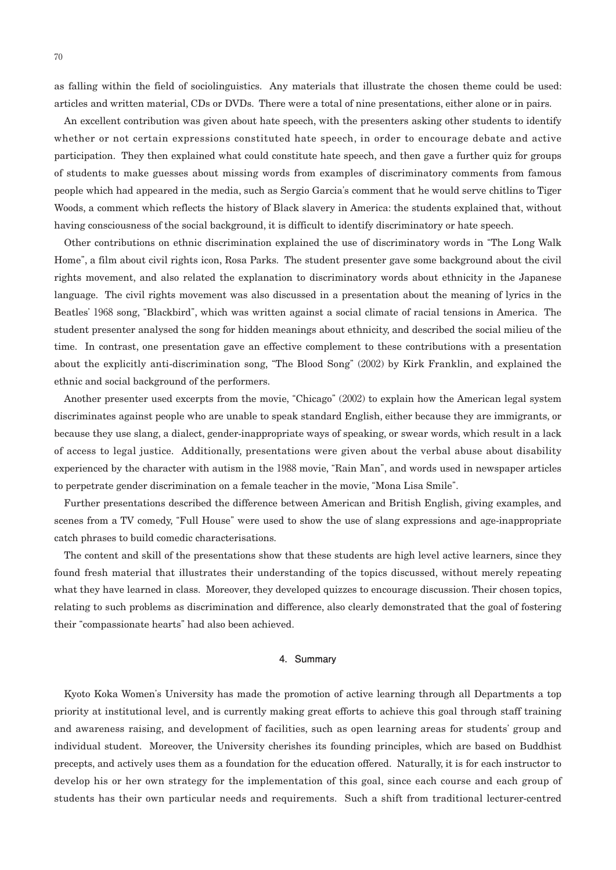as falling within the field of sociolinguistics. Any materials that illustrate the chosen theme could be used: articles and written material, CDs or DVDs. There were a total of nine presentations, either alone or in pairs.

An excellent contribution was given about hate speech, with the presenters asking other students to identify whether or not certain expressions constituted hate speech, in order to encourage debate and active participation. They then explained what could constitute hate speech, and then gave a further quiz for groups of students to make guesses about missing words from examples of discriminatory comments from famous people which had appeared in the media, such as Sergio Garcia's comment that he would serve chitlins to Tiger Woods, a comment which reflects the history of Black slavery in America: the students explained that, without having consciousness of the social background, it is difficult to identify discriminatory or hate speech.

Other contributions on ethnic discrimination explained the use of discriminatory words in "The Long Walk Home", a film about civil rights icon, Rosa Parks. The student presenter gave some background about the civil rights movement, and also related the explanation to discriminatory words about ethnicity in the Japanese language. The civil rights movement was also discussed in a presentation about the meaning of lyrics in the Beatles' 1968 song, "Blackbird", which was written against a social climate of racial tensions in America. The student presenter analysed the song for hidden meanings about ethnicity, and described the social milieu of the time. In contrast, one presentation gave an effective complement to these contributions with a presentation about the explicitly anti-discrimination song, "The Blood Song" (2002) by Kirk Franklin, and explained the ethnic and social background of the performers.

Another presenter used excerpts from the movie, "Chicago" (2002) to explain how the American legal system discriminates against people who are unable to speak standard English, either because they are immigrants, or because they use slang, a dialect, gender-inappropriate ways of speaking, or swear words, which result in a lack of access to legal justice. Additionally, presentations were given about the verbal abuse about disability experienced by the character with autism in the 1988 movie, "Rain Man", and words used in newspaper articles to perpetrate gender discrimination on a female teacher in the movie, "Mona Lisa Smile".

Further presentations described the difference between American and British English, giving examples, and scenes from a TV comedy, "Full House" were used to show the use of slang expressions and age-inappropriate catch phrases to build comedic characterisations.

The content and skill of the presentations show that these students are high level active learners, since they found fresh material that illustrates their understanding of the topics discussed, without merely repeating what they have learned in class. Moreover, they developed quizzes to encourage discussion. Their chosen topics, relating to such problems as discrimination and difference, also clearly demonstrated that the goal of fostering their "compassionate hearts" had also been achieved.

#### **4.Summary**

Kyoto Koka Women's University has made the promotion of active learning through all Departments a top priority at institutional level, and is currently making great efforts to achieve this goal through staff training and awareness raising, and development of facilities, such as open learning areas for students' group and individual student. Moreover, the University cherishes its founding principles, which are based on Buddhist precepts, and actively uses them as a foundation for the education offered. Naturally, it is for each instructor to develop his or her own strategy for the implementation of this goal, since each course and each group of students has their own particular needs and requirements. Such a shift from traditional lecturer-centred